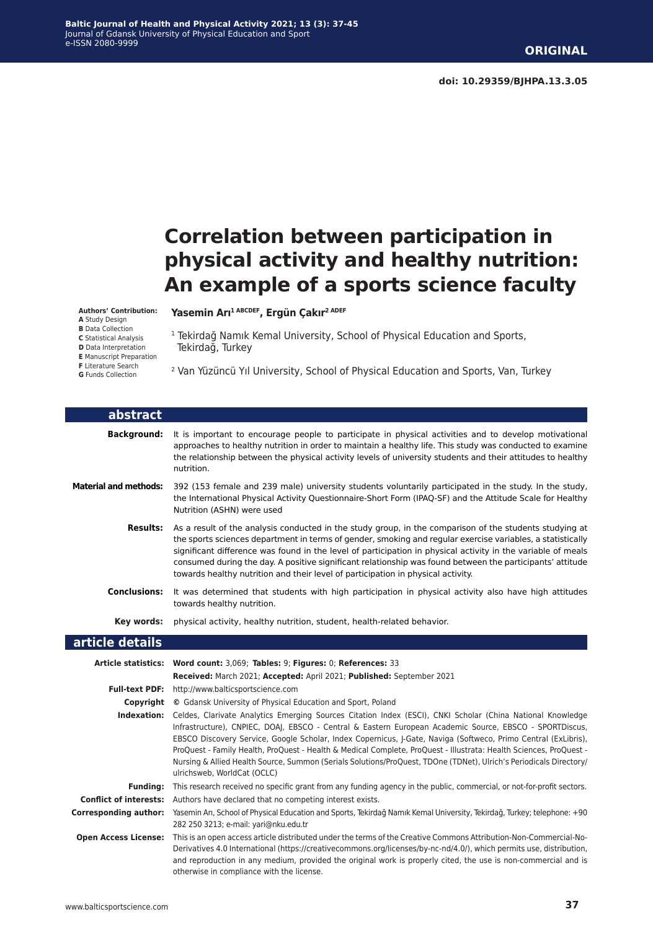# **Correlation between participation in physical activity and healthy nutrition: An example of a sports science faculty**

#### **Authors' Contribution:**

**A** Study Design **B** Data Collection **C** Statistical Analysis **D** Data Interpretation

**E** Manuscript Preparation **F** Literature Search **G** Funds Collection

**Yasemin Arı1 ABCDEF, Ergün Çakır2 ADEF**

- <sup>1</sup> Tekirdağ Namık Kemal University, School of Physical Education and Sports, Tekirdağ, Turkey
- 2 Van Yüzüncü Yıl University, School of Physical Education and Sports, Van, Turkey

| abstract                     |                                                                                                                                                                                                                                                                                                                                                                                                                                                                                                                                                                                                                    |
|------------------------------|--------------------------------------------------------------------------------------------------------------------------------------------------------------------------------------------------------------------------------------------------------------------------------------------------------------------------------------------------------------------------------------------------------------------------------------------------------------------------------------------------------------------------------------------------------------------------------------------------------------------|
| <b>Background:</b>           | It is important to encourage people to participate in physical activities and to develop motivational<br>approaches to healthy nutrition in order to maintain a healthy life. This study was conducted to examine<br>the relationship between the physical activity levels of university students and their attitudes to healthy<br>nutrition.                                                                                                                                                                                                                                                                     |
| <b>Material and methods:</b> | 392 (153 female and 239 male) university students voluntarily participated in the study. In the study,<br>the International Physical Activity Questionnaire-Short Form (IPAQ-SF) and the Attitude Scale for Healthy<br>Nutrition (ASHN) were used                                                                                                                                                                                                                                                                                                                                                                  |
|                              | Results: As a result of the analysis conducted in the study group, in the comparison of the students studying at<br>the sports sciences department in terms of gender, smoking and regular exercise variables, a statistically<br>significant difference was found in the level of participation in physical activity in the variable of meals<br>consumed during the day. A positive significant relationship was found between the participants' attitude<br>towards healthy nutrition and their level of participation in physical activity.                                                                    |
| <b>Conclusions:</b>          | It was determined that students with high participation in physical activity also have high attitudes<br>towards healthy nutrition.                                                                                                                                                                                                                                                                                                                                                                                                                                                                                |
| Key words:                   | physical activity, healthy nutrition, student, health-related behavior.                                                                                                                                                                                                                                                                                                                                                                                                                                                                                                                                            |
| article details              |                                                                                                                                                                                                                                                                                                                                                                                                                                                                                                                                                                                                                    |
|                              | Article statistics: Word count: 3,069; Tables: 9; Figures: 0; References: 33                                                                                                                                                                                                                                                                                                                                                                                                                                                                                                                                       |
|                              | Received: March 2021; Accepted: April 2021; Published: September 2021                                                                                                                                                                                                                                                                                                                                                                                                                                                                                                                                              |
| <b>Full-text PDF:</b>        | http://www.balticsportscience.com                                                                                                                                                                                                                                                                                                                                                                                                                                                                                                                                                                                  |
|                              | <b>Copyright</b> © Gdansk University of Physical Education and Sport, Poland                                                                                                                                                                                                                                                                                                                                                                                                                                                                                                                                       |
| Indexation:                  | Celdes, Clarivate Analytics Emerging Sources Citation Index (ESCI), CNKI Scholar (China National Knowledge<br>Infrastructure), CNPIEC, DOAJ, EBSCO - Central & Eastern European Academic Source, EBSCO - SPORTDiscus,<br>EBSCO Discovery Service, Google Scholar, Index Copernicus, J-Gate, Naviga (Softweco, Primo Central (ExLibris),<br>ProQuest - Family Health, ProQuest - Health & Medical Complete, ProQuest - Illustrata: Health Sciences, ProQuest -<br>Nursing & Allied Health Source, Summon (Serials Solutions/ProQuest, TDOne (TDNet), Ulrich's Periodicals Directory/<br>ulrichsweb, WorldCat (OCLC) |
| <b>Funding:</b>              | This research received no specific grant from any funding agency in the public, commercial, or not-for-profit sectors.                                                                                                                                                                                                                                                                                                                                                                                                                                                                                             |
|                              | <b>Conflict of interests:</b> Authors have declared that no competing interest exists.                                                                                                                                                                                                                                                                                                                                                                                                                                                                                                                             |
| <b>Corresponding author:</b> | Yasemin Arı, School of Physical Education and Sports, Tekirdağ Namık Kemal University, Tekirdağ, Turkey; telephone: +90<br>282 250 3213; e-mail: yari@nku.edu.tr                                                                                                                                                                                                                                                                                                                                                                                                                                                   |
| <b>Open Access License:</b>  | This is an open access article distributed under the terms of the Creative Commons Attribution-Non-Commercial-No-<br>Derivatives 4.0 International (https://creativecommons.org/licenses/by-nc-nd/4.0/), which permits use, distribution,<br>and reproduction in any medium, provided the original work is properly cited, the use is non-commercial and is                                                                                                                                                                                                                                                        |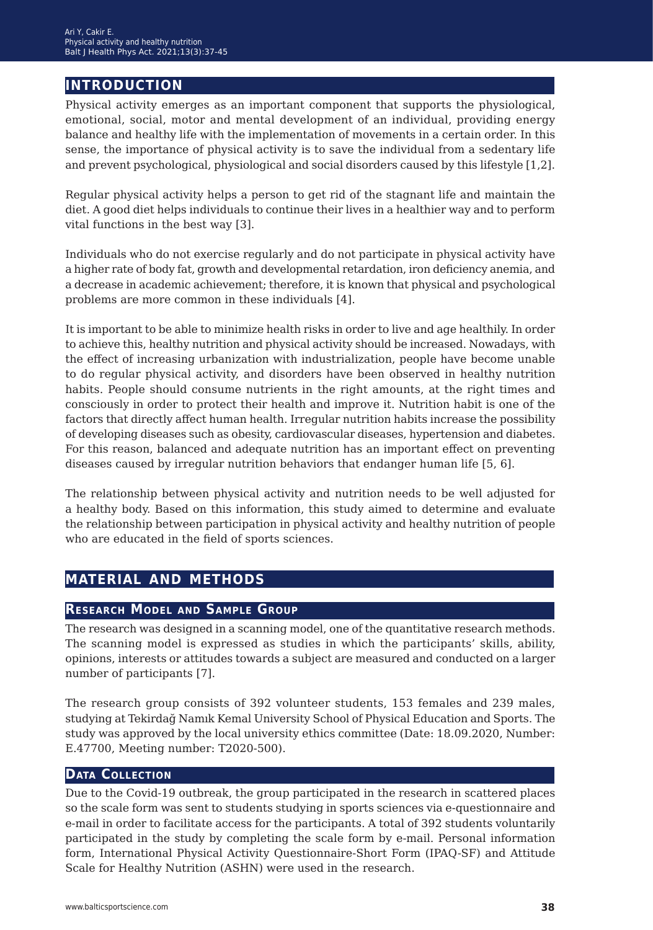# **introduction**

Physical activity emerges as an important component that supports the physiological, emotional, social, motor and mental development of an individual, providing energy balance and healthy life with the implementation of movements in a certain order. In this sense, the importance of physical activity is to save the individual from a sedentary life and prevent psychological, physiological and social disorders caused by this lifestyle [1,2].

Regular physical activity helps a person to get rid of the stagnant life and maintain the diet. A good diet helps individuals to continue their lives in a healthier way and to perform vital functions in the best way [3].

Individuals who do not exercise regularly and do not participate in physical activity have a higher rate of body fat, growth and developmental retardation, iron deficiency anemia, and a decrease in academic achievement; therefore, it is known that physical and psychological problems are more common in these individuals [4].

It is important to be able to minimize health risks in order to live and age healthily. In order to achieve this, healthy nutrition and physical activity should be increased. Nowadays, with the effect of increasing urbanization with industrialization, people have become unable to do regular physical activity, and disorders have been observed in healthy nutrition habits. People should consume nutrients in the right amounts, at the right times and consciously in order to protect their health and improve it. Nutrition habit is one of the factors that directly affect human health. Irregular nutrition habits increase the possibility of developing diseases such as obesity, cardiovascular diseases, hypertension and diabetes. For this reason, balanced and adequate nutrition has an important effect on preventing diseases caused by irregular nutrition behaviors that endanger human life [5, 6].

The relationship between physical activity and nutrition needs to be well adjusted for a healthy body. Based on this information, this study aimed to determine and evaluate the relationship between participation in physical activity and healthy nutrition of people who are educated in the field of sports sciences.

# **material and methods**

#### **Research Model and Sample Group**

The research was designed in a scanning model, one of the quantitative research methods. The scanning model is expressed as studies in which the participants' skills, ability, opinions, interests or attitudes towards a subject are measured and conducted on a larger number of participants [7].

The research group consists of 392 volunteer students, 153 females and 239 males, studying at Tekirdağ Namık Kemal University School of Physical Education and Sports. The study was approved by the local university ethics committee (Date: 18.09.2020, Number: E.47700, Meeting number: T2020-500).

#### **Data Collection**

Due to the Covid-19 outbreak, the group participated in the research in scattered places so the scale form was sent to students studying in sports sciences via e-questionnaire and e-mail in order to facilitate access for the participants. A total of 392 students voluntarily participated in the study by completing the scale form by e-mail. Personal information form, International Physical Activity Questionnaire-Short Form (IPAQ-SF) and Attitude Scale for Healthy Nutrition (ASHN) were used in the research.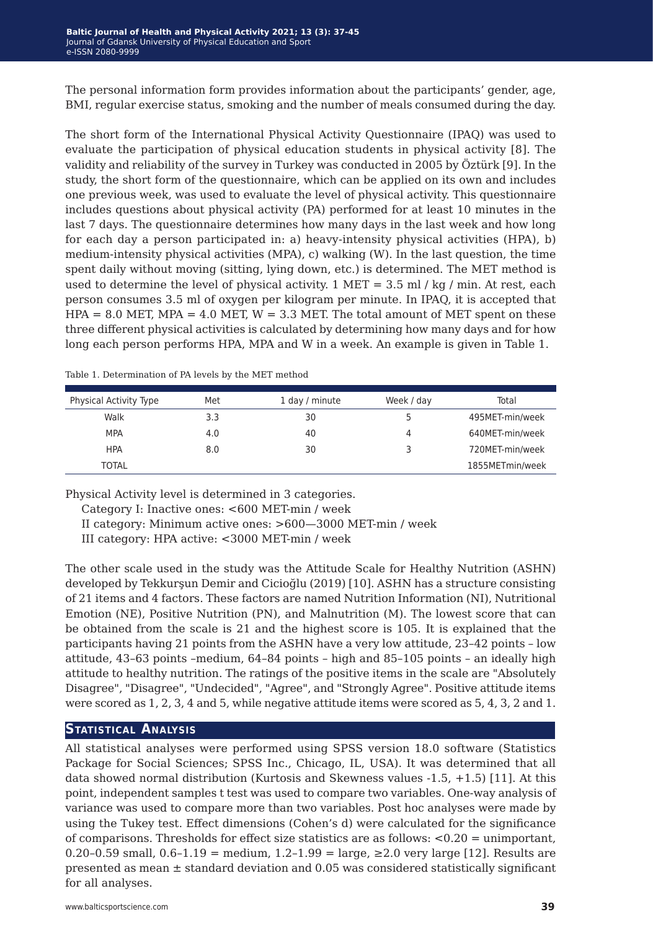The personal information form provides information about the participants' gender, age, BMI, regular exercise status, smoking and the number of meals consumed during the day.

The short form of the International Physical Activity Questionnaire (IPAQ) was used to evaluate the participation of physical education students in physical activity [8]. The validity and reliability of the survey in Turkey was conducted in 2005 by Öztürk [9]. In the study, the short form of the questionnaire, which can be applied on its own and includes one previous week, was used to evaluate the level of physical activity. This questionnaire includes questions about physical activity (PA) performed for at least 10 minutes in the last 7 days. The questionnaire determines how many days in the last week and how long for each day a person participated in: a) heavy-intensity physical activities (HPA), b) medium-intensity physical activities (MPA), c) walking (W). In the last question, the time spent daily without moving (sitting, lying down, etc.) is determined. The MET method is used to determine the level of physical activity. 1 MET =  $3.5$  ml / kg / min. At rest, each person consumes 3.5 ml of oxygen per kilogram per minute. In IPAQ, it is accepted that  $HPA = 8.0$  MET,  $MPA = 4.0$  MET,  $W = 3.3$  MET. The total amount of MET spent on these three different physical activities is calculated by determining how many days and for how long each person performs HPA, MPA and W in a week. An example is given in Table 1.

| Physical Activity Type | Met | 1 day / minute | Week / day | Total           |
|------------------------|-----|----------------|------------|-----------------|
| Walk                   | 3.3 | 30             |            | 495MET-min/week |
| <b>MPA</b>             | 4.0 | 40             | 4          | 640MET-min/week |
| <b>HPA</b>             | 8.0 | 30             |            | 720MET-min/week |
| TOTAL                  |     |                |            | 1855METmin/week |

Table 1. Determination of PA levels by the MET method

Physical Activity level is determined in 3 categories.

Category I: Inactive ones: <600 MET-min / week

II category: Minimum active ones: >600—3000 MET-min / week

III category: HPA active: <3000 MET-min / week

The other scale used in the study was the Attitude Scale for Healthy Nutrition (ASHN) developed by Tekkurşun Demir and Cicioğlu (2019) [10]. ASHN has a structure consisting of 21 items and 4 factors. These factors are named Nutrition Information (NI), Nutritional Emotion (NE), Positive Nutrition (PN), and Malnutrition (M). The lowest score that can be obtained from the scale is 21 and the highest score is 105. It is explained that the participants having 21 points from the ASHN have a very low attitude, 23–42 points – low attitude, 43–63 points –medium, 64–84 points – high and 85–105 points – an ideally high attitude to healthy nutrition. The ratings of the positive items in the scale are "Absolutely Disagree", "Disagree", "Undecided", "Agree", and "Strongly Agree". Positive attitude items were scored as 1, 2, 3, 4 and 5, while negative attitude items were scored as 5, 4, 3, 2 and 1.

## **Statistical Analysis**

All statistical analyses were performed using SPSS version 18.0 software (Statistics Package for Social Sciences; SPSS Inc., Chicago, IL, USA). It was determined that all data showed normal distribution (Kurtosis and Skewness values -1.5, +1.5) [11]. At this point, independent samples t test was used to compare two variables. One-way analysis of variance was used to compare more than two variables. Post hoc analyses were made by using the Tukey test. Effect dimensions (Cohen's d) were calculated for the significance of comparisons. Thresholds for effect size statistics are as follows: <0.20 = unimportant, 0.20–0.59 small, 0.6–1.19 = medium, 1.2–1.99 = large, ≥2.0 very large [12]. Results are presented as mean  $\pm$  standard deviation and 0.05 was considered statistically significant for all analyses.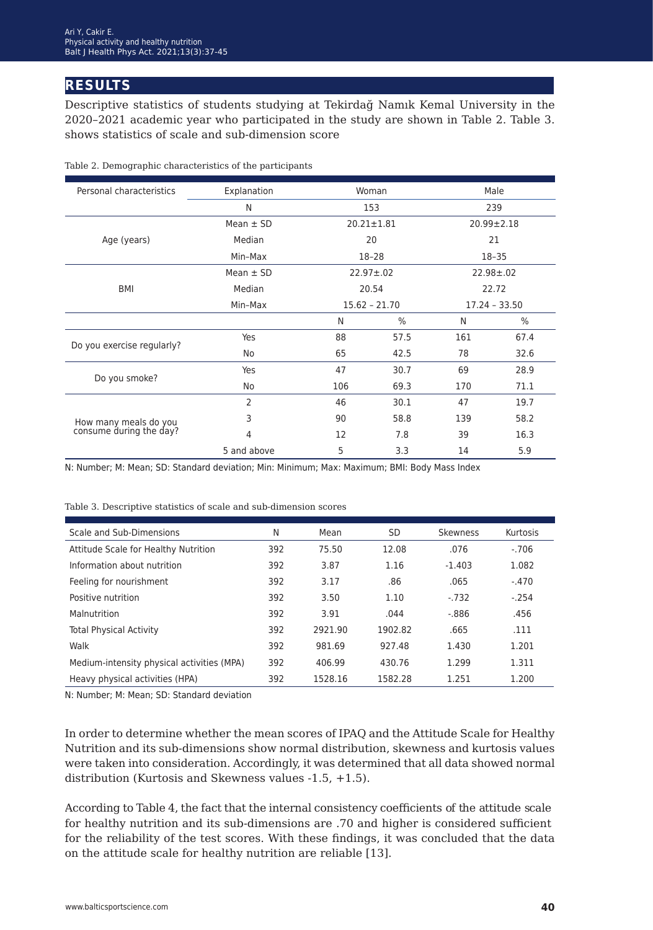# **results**

Descriptive statistics of students studying at Tekirdağ Namık Kemal University in the 2020–2021 academic year who participated in the study are shown in Table 2. Table 3. shows statistics of scale and sub-dimension score

| Personal characteristics   | Explanation   |                 | Woman            | Male |                  |  |
|----------------------------|---------------|-----------------|------------------|------|------------------|--|
|                            | N             |                 | 153              |      | 239              |  |
|                            | Mean $\pm$ SD |                 | $20.21 \pm 1.81$ |      | $20.99 \pm 2.18$ |  |
| Age (years)                | Median        |                 | 20               |      | 21               |  |
|                            | Min-Max       |                 | $18 - 28$        |      | $18 - 35$        |  |
|                            | Mean $\pm$ SD |                 | $22.97 \pm 0.02$ |      | $22.98 \pm 0.02$ |  |
| BMI                        | Median        |                 | 20.54            |      | 22.72            |  |
|                            | Min-Max       | $15.62 - 21.70$ |                  |      | $17.24 - 33.50$  |  |
|                            |               | N               | $\%$             | N    | $\%$             |  |
| Do you exercise regularly? | Yes           | 88              | 57.5             | 161  | 67.4             |  |
|                            | No            | 65              | 42.5             | 78   | 32.6             |  |
| Do you smoke?              | Yes           | 47              | 30.7             | 69   | 28.9             |  |
|                            | No            | 106             | 69.3             | 170  | 71.1             |  |
|                            | 2             | 46              | 30.1             | 47   | 19.7             |  |
| How many meals do you      | 3             | 90              | 58.8             | 139  | 58.2             |  |
| consume during the day?    | 4             | 12              | 7.8              | 39   | 16.3             |  |
|                            | 5 and above   | 5               | 3.3              | 14   | 5.9              |  |

Table 2. Demographic characteristics of the participants

N: Number; M: Mean; SD: Standard deviation; Min: Minimum; Max: Maximum; BMI: Body Mass Index

Table 3. Descriptive statistics of scale and sub-dimension scores

| Scale and Sub-Dimensions                   | N   | Mean    | <b>SD</b> | <b>Skewness</b> | Kurtosis |
|--------------------------------------------|-----|---------|-----------|-----------------|----------|
| Attitude Scale for Healthy Nutrition       | 392 | 75.50   | 12.08     | .076            | $-.706$  |
| Information about nutrition                | 392 | 3.87    | 1.16      | $-1.403$        | 1.082    |
| Feeling for nourishment                    | 392 | 3.17    | .86       | .065            | $-.470$  |
| Positive nutrition                         | 392 | 3.50    | 1.10      | $-732$          | $-.254$  |
| Malnutrition                               | 392 | 3.91    | .044      | $-0.886$        | .456     |
| <b>Total Physical Activity</b>             | 392 | 2921.90 | 1902.82   | .665            | .111     |
| Walk                                       | 392 | 981.69  | 927.48    | 1.430           | 1.201    |
| Medium-intensity physical activities (MPA) | 392 | 406.99  | 430.76    | 1.299           | 1.311    |
| Heavy physical activities (HPA)            | 392 | 1528.16 | 1582.28   | 1.251           | 1.200    |

N: Number; M: Mean; SD: Standard deviation

In order to determine whether the mean scores of IPAQ and the Attitude Scale for Healthy Nutrition and its sub-dimensions show normal distribution, skewness and kurtosis values were taken into consideration. Accordingly, it was determined that all data showed normal distribution (Kurtosis and Skewness values -1.5, +1.5).

According to Table 4, the fact that the internal consistency coefficients of the attitude scale for healthy nutrition and its sub-dimensions are .70 and higher is considered sufficient for the reliability of the test scores. With these findings, it was concluded that the data on the attitude scale for healthy nutrition are reliable [13].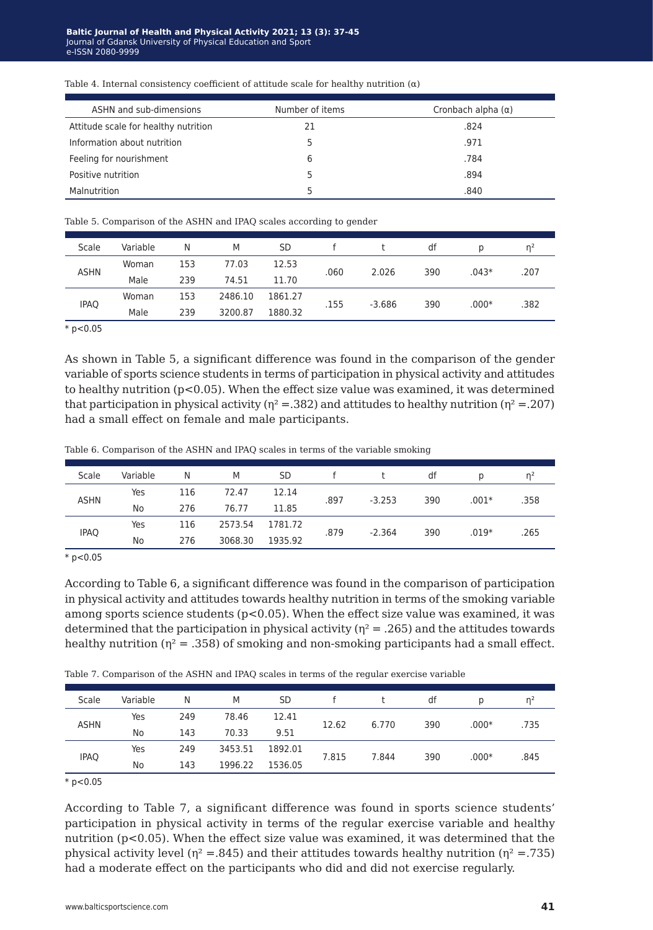| ASHN and sub-dimensions              | Number of items | Cronbach alpha $(\alpha)$ |
|--------------------------------------|-----------------|---------------------------|
| Attitude scale for healthy nutrition | 21              | .824                      |
| Information about nutrition          |                 | .971                      |
| Feeling for nourishment              | 6               | .784                      |
| Positive nutrition                   |                 | .894                      |
| Malnutrition                         |                 | .840                      |

Table 4. Internal consistency coefficient of attitude scale for healthy nutrition  $(\alpha)$ 

Table 5. Comparison of the ASHN and IPAQ scales according to gender

| n <sup>2</sup> |      |
|----------------|------|
| .207           |      |
|                |      |
|                |      |
|                | .382 |

 $* p < 0.05$ 

As shown in Table 5, a significant difference was found in the comparison of the gender variable of sports science students in terms of participation in physical activity and attitudes to healthy nutrition (p<0.05). When the effect size value was examined, it was determined that participation in physical activity ( $\eta^2 = 0.382$ ) and attitudes to healthy nutrition ( $\eta^2 = 0.207$ ) had a small effect on female and male participants.

Table 6. Comparison of the ASHN and IPAQ scales in terms of the variable smoking

| Scale       | Variable                                   | N   | M       | <b>SD</b> |      |          | df  |         |      |
|-------------|--------------------------------------------|-----|---------|-----------|------|----------|-----|---------|------|
|             | Yes                                        | 116 | 72.47   | 12.14     | .897 | $-3.253$ | 390 | $.001*$ |      |
|             | <b>ASHN</b><br>11.85<br>76.77<br>No<br>276 |     |         |           |      | .358     |     |         |      |
|             | Yes                                        | 116 | 2573.54 | 1781.72   | .879 | $-2.364$ | 390 | $.019*$ | .265 |
| <b>IPAQ</b> | No                                         | 276 | 3068.30 | 1935.92   |      |          |     |         |      |
|             |                                            |     |         |           |      |          |     |         |      |

 $*$  p<0.05

According to Table 6, a significant difference was found in the comparison of participation in physical activity and attitudes towards healthy nutrition in terms of the smoking variable among sports science students  $(p<0.05)$ . When the effect size value was examined, it was determined that the participation in physical activity ( $\eta^2 = .265$ ) and the attitudes towards healthy nutrition ( $\eta^2 = .358$ ) of smoking and non-smoking participants had a small effect.

|  | Table 7. Comparison of the ASHN and IPAQ scales in terms of the regular exercise variable |  |  |  |
|--|-------------------------------------------------------------------------------------------|--|--|--|
|  |                                                                                           |  |  |  |

| Scale       | Variable | N   | M       | <b>SD</b> |       |       | df  | D       | n <sup>2</sup> |
|-------------|----------|-----|---------|-----------|-------|-------|-----|---------|----------------|
| <b>ASHN</b> | Yes      | 249 | 78.46   | 12.41     |       |       | 390 | $.000*$ | .735           |
|             | No       | 143 | 70.33   | 9.51      | 12.62 | 6.770 |     |         |                |
|             | Yes      | 249 | 3453.51 | 1892.01   | 7.815 | 7.844 | 390 | $.000*$ |                |
| <b>IPAQ</b> | No       | 143 | 1996.22 | 1536.05   |       |       |     |         | .845           |

 $*$  p<0.05

According to Table 7, a significant difference was found in sports science students' participation in physical activity in terms of the regular exercise variable and healthy nutrition ( $p < 0.05$ ). When the effect size value was examined, it was determined that the physical activity level ( $\eta$ <sup>2</sup> = .845) and their attitudes towards healthy nutrition ( $\eta$ <sup>2</sup> = .735) had a moderate effect on the participants who did and did not exercise regularly.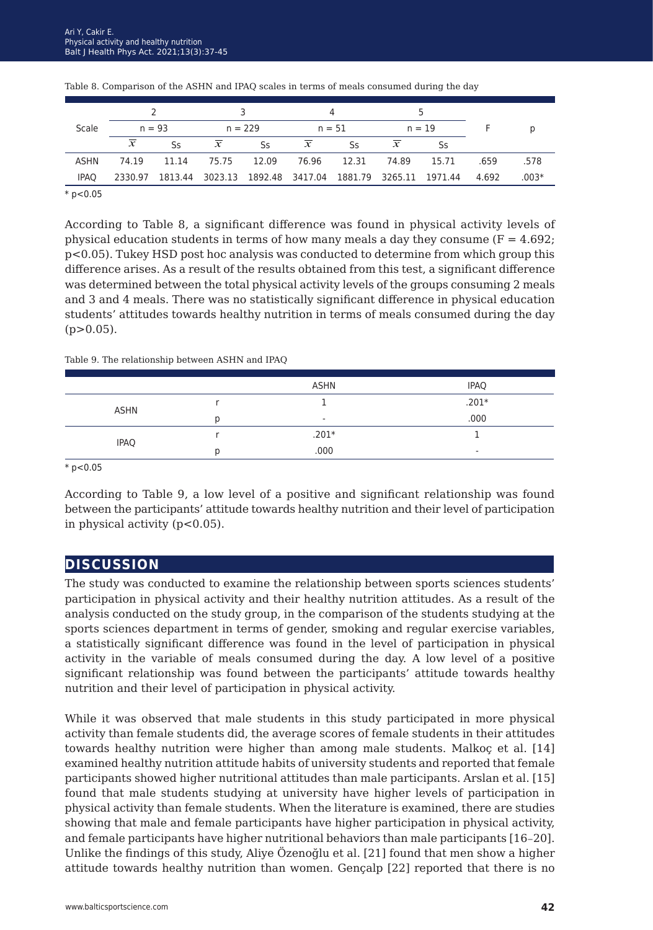|              |                |       |                |           |                                                         | $\overline{a}$ |                     |       |       |         |
|--------------|----------------|-------|----------------|-----------|---------------------------------------------------------|----------------|---------------------|-------|-------|---------|
| Scale        | $n = 93$       |       | $n = 229$      |           | $n = 51$                                                |                | $n = 19$            |       |       | D       |
|              | $\overline{x}$ | Ss.   | $\overline{x}$ | <b>Ss</b> | $\boldsymbol{\chi}$                                     | Ss             | $\boldsymbol{\chi}$ | Ss    |       |         |
| ASHN         | 74.19          | 11.14 | 75.75 12.09    |           | 76.96 12.31 74.89                                       |                |                     | 15.71 | .659  | .578    |
| <b>IPAO</b>  | 2330.97        |       |                |           | 1813.44 3023.13 1892.48 3417.04 1881.79 3265.11 1971.44 |                |                     |       | 4.692 | $.003*$ |
| $*$ p < 0.05 |                |       |                |           |                                                         |                |                     |       |       |         |

Table 8. Comparison of the ASHN and IPAQ scales in terms of meals consumed during the day

According to Table 8, a significant difference was found in physical activity levels of physical education students in terms of how many meals a day they consume  $(F = 4.692)$ ; p<0.05). Tukey HSD post hoc analysis was conducted to determine from which group this difference arises. As a result of the results obtained from this test, a significant difference was determined between the total physical activity levels of the groups consuming 2 meals and 3 and 4 meals. There was no statistically significant difference in physical education students' attitudes towards healthy nutrition in terms of meals consumed during the day  $(p>0.05)$ .

Table 9. The relationship between ASHN and IPAQ

|             | ASHN                     | <b>IPAQ</b>              |
|-------------|--------------------------|--------------------------|
| ASHN        |                          | $.201*$                  |
|             | $\overline{\phantom{a}}$ | .000                     |
| <b>IPAQ</b> | $.201*$                  |                          |
|             | .000                     | $\overline{\phantom{a}}$ |

 $*$  p<0.05

According to Table 9, a low level of a positive and significant relationship was found between the participants' attitude towards healthy nutrition and their level of participation in physical activity  $(p<0.05)$ .

# **discussion**

The study was conducted to examine the relationship between sports sciences students' participation in physical activity and their healthy nutrition attitudes. As a result of the analysis conducted on the study group, in the comparison of the students studying at the sports sciences department in terms of gender, smoking and regular exercise variables, a statistically significant difference was found in the level of participation in physical activity in the variable of meals consumed during the day. A low level of a positive significant relationship was found between the participants' attitude towards healthy nutrition and their level of participation in physical activity.

While it was observed that male students in this study participated in more physical activity than female students did, the average scores of female students in their attitudes towards healthy nutrition were higher than among male students. Malkoç et al. [14] examined healthy nutrition attitude habits of university students and reported that female participants showed higher nutritional attitudes than male participants. Arslan et al. [15] found that male students studying at university have higher levels of participation in physical activity than female students. When the literature is examined, there are studies showing that male and female participants have higher participation in physical activity, and female participants have higher nutritional behaviors than male participants [16–20]. Unlike the findings of this study, Aliye Özenoğlu et al. [21] found that men show a higher attitude towards healthy nutrition than women. Gençalp [22] reported that there is no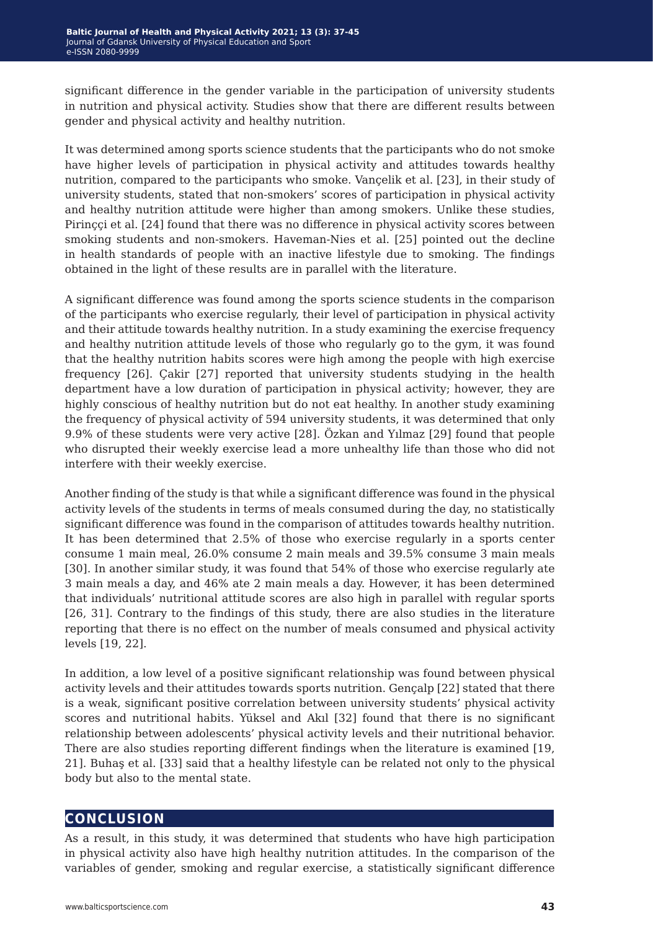significant difference in the gender variable in the participation of university students in nutrition and physical activity. Studies show that there are different results between gender and physical activity and healthy nutrition.

It was determined among sports science students that the participants who do not smoke have higher levels of participation in physical activity and attitudes towards healthy nutrition, compared to the participants who smoke. Vançelik et al. [23], in their study of university students, stated that non-smokers' scores of participation in physical activity and healthy nutrition attitude were higher than among smokers. Unlike these studies, Pirinççi et al. [24] found that there was no difference in physical activity scores between smoking students and non-smokers. Haveman-Nies et al. [25] pointed out the decline in health standards of people with an inactive lifestyle due to smoking. The findings obtained in the light of these results are in parallel with the literature.

A significant difference was found among the sports science students in the comparison of the participants who exercise regularly, their level of participation in physical activity and their attitude towards healthy nutrition. In a study examining the exercise frequency and healthy nutrition attitude levels of those who regularly go to the gym, it was found that the healthy nutrition habits scores were high among the people with high exercise frequency [26]. Çakir [27] reported that university students studying in the health department have a low duration of participation in physical activity; however, they are highly conscious of healthy nutrition but do not eat healthy. In another study examining the frequency of physical activity of 594 university students, it was determined that only 9.9% of these students were very active [28]. Özkan and Yılmaz [29] found that people who disrupted their weekly exercise lead a more unhealthy life than those who did not interfere with their weekly exercise.

Another finding of the study is that while a significant difference was found in the physical activity levels of the students in terms of meals consumed during the day, no statistically significant difference was found in the comparison of attitudes towards healthy nutrition. It has been determined that 2.5% of those who exercise regularly in a sports center consume 1 main meal, 26.0% consume 2 main meals and 39.5% consume 3 main meals [30]. In another similar study, it was found that 54% of those who exercise regularly ate 3 main meals a day, and 46% ate 2 main meals a day. However, it has been determined that individuals' nutritional attitude scores are also high in parallel with regular sports [26, 31]. Contrary to the findings of this study, there are also studies in the literature reporting that there is no effect on the number of meals consumed and physical activity levels [19, 22].

In addition, a low level of a positive significant relationship was found between physical activity levels and their attitudes towards sports nutrition. Gençalp [22] stated that there is a weak, significant positive correlation between university students' physical activity scores and nutritional habits. Yüksel and Akıl [32] found that there is no significant relationship between adolescents' physical activity levels and their nutritional behavior. There are also studies reporting different findings when the literature is examined [19, 21]. Buhaş et al. [33] said that a healthy lifestyle can be related not only to the physical body but also to the mental state.

## **conclusion**

As a result, in this study, it was determined that students who have high participation in physical activity also have high healthy nutrition attitudes. In the comparison of the variables of gender, smoking and regular exercise, a statistically significant difference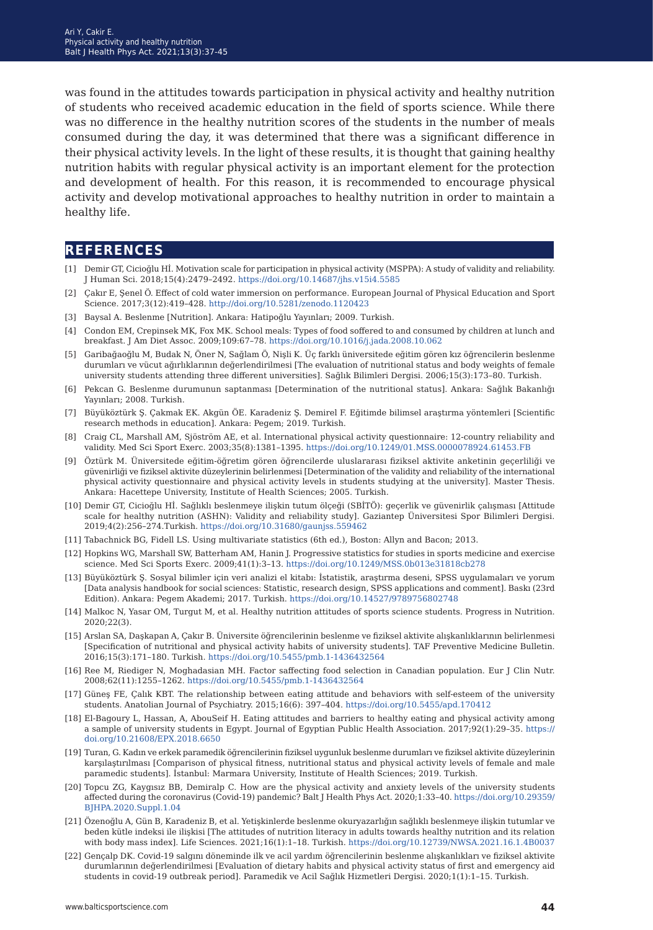was found in the attitudes towards participation in physical activity and healthy nutrition of students who received academic education in the field of sports science. While there was no difference in the healthy nutrition scores of the students in the number of meals consumed during the day, it was determined that there was a significant difference in their physical activity levels. In the light of these results, it is thought that gaining healthy nutrition habits with regular physical activity is an important element for the protection and development of health. For this reason, it is recommended to encourage physical activity and develop motivational approaches to healthy nutrition in order to maintain a healthy life.

## **references**

- [1] Demir GT, Cicioğlu Hİ. Motivation scale for participation in physical activity (MSPPA): A study of validity and reliability. J Human Sci. 2018;15(4):2479–2492. <https://doi.org/10.14687/jhs.v15i4.5585>
- [2] Çakır E, Şenel Ö. Effect of cold water immersion on performance. European Journal of Physical Education and Sport Science. 2017;3(12):419–428.<http://doi.org/10.5281/zenodo.1120423>
- [3] Baysal A. Beslenme [Nutrition]. Ankara: Hatipoğlu Yayınları; 2009. Turkish.
- [4] Condon EM, Crepinsek MK, Fox MK. School meals: Types of food soffered to and consumed by children at lunch and breakfast. J Am Diet Assoc. 2009;109:67–78. <https://doi.org/10.1016/j.jada.2008.10.062>
- [5] Garibağaoğlu M, Budak N, Öner N, Sağlam Ö, Nişli K. Üç farklı üniversitede eğitim gören kız öğrencilerin beslenme durumları ve vücut ağırlıklarının değerlendirilmesi [The evaluation of nutritional status and body weights of female university students attending three different universities]. Sağlık Bilimleri Dergisi. 2006;15(3):173–80. Turkish.
- [6] Pekcan G. Beslenme durumunun saptanması [Determination of the nutritional status]. Ankara: Sağlık Bakanlığı Yayınları; 2008. Turkish.
- [7] Büyüköztürk Ş. Çakmak EK. Akgün ÖE. Karadeniz Ş. Demirel F. Eğitimde bilimsel araştırma yöntemleri [Scientific research methods in education]. Ankara: Pegem; 2019. Turkish.
- [8] Craig CL, Marshall AM, Sjöström AE, et al. International physical activity questionnaire: 12-country reliability and validity. Med Sci Sport Exerc. 2003;35(8):1381–1395. <https://doi.org/10.1249/01.MSS.0000078924.61453.FB>
- [9] Öztürk M. Üniversitede eğitim-öğretim gören öğrencilerde uluslararası fiziksel aktivite anketinin geçerliliği ve güvenirliği ve fiziksel aktivite düzeylerinin belirlenmesi [Determination of the validity and reliability of the international physical activity questionnaire and physical activity levels in students studying at the university]. Master Thesis. Ankara: Hacettepe University, Institute of Health Sciences; 2005. Turkish.
- [10] Demir GT, Cicioğlu Hİ. Sağlıklı beslenmeye ilişkin tutum ölçeği (SBİTÖ): geçerlik ve güvenirlik çalışması [Attitude scale for healthy nutrition (ASHN): Validity and reliability study]. Gaziantep Üniversitesi Spor Bilimleri Dergisi. 2019;4(2):256–274.Turkish.<https://doi.org/10.31680/gaunjss.559462>
- [11] Tabachnick BG, Fidell LS. Using multivariate statistics (6th ed.), Boston: Allyn and Bacon; 2013.
- [12] Hopkins WG, Marshall SW, Batterham AM, Hanin J. Progressive statistics for studies in sports medicine and exercise science. Med Sci Sports Exerc. 2009;41(1):3–13.<https://doi.org/10.1249/MSS.0b013e31818cb278>
- [13] Büyüköztürk Ş. Sosyal bilimler için veri analizi el kitabı: İstatistik, araştırma deseni, SPSS uygulamaları ve yorum [Data analysis handbook for social sciences: Statistic, research design, SPSS applications and comment]. Baskı (23rd Edition). Ankara: Pegem Akademi; 2017. Turkish. <https://doi.org/10.14527/9789756802748>
- [14] Malkoc N, Yasar OM, Turgut M, et al. Healthy nutrition attitudes of sports science students. Progress in Nutrition. 2020;22(3).
- [15] Arslan SA, Daşkapan A, Çakır B. Üniversite öğrencilerinin beslenme ve fiziksel aktivite alışkanlıklarının belirlenmesi [Specification of nutritional and physical activity habits of university students]. TAF Preventive Medicine Bulletin. 2016;15(3):171–180. Turkish. <https://doi.org/10.5455/pmb.1-1436432564>
- [16] Ree M, Riediger N, Moghadasian MH. Factor saffecting food selection in Canadian population. Eur J Clin Nutr. 2008;62(11):1255–1262. <https://doi.org/10.5455/pmb.1-1436432564>
- [17] Güneş FE, Çalık KBT. The relationship between eating attitude and behaviors with self-esteem of the university students. Anatolian Journal of Psychiatry. 2015;16(6): 397–404.<https://doi.org/10.5455/apd.170412>
- [18] El-Bagoury L, Hassan, A, AbouSeif H. Eating attitudes and barriers to healthy eating and physical activity among a sample of university students in Egypt. Journal of Egyptian Public Health Association. 2017;92(1):29–35. [https://](https://doi.org/10.21608/EPX.2018.6650 ) [doi.org/10.21608/EPX.2018.6650](https://doi.org/10.21608/EPX.2018.6650 )
- [19] Turan, G. Kadın ve erkek paramedik öğrencilerinin fiziksel uygunluk beslenme durumları ve fiziksel aktivite düzeylerinin karşılaştırılması [Comparison of physical fitness, nutritional status and physical activity levels of female and male paramedic students]. İstanbul: Marmara University, Institute of Health Sciences; 2019. Turkish.
- [20] Topcu ZG, Kaygısız BB, Demiralp C. How are the physical activity and anxiety levels of the university students affected during the coronavirus (Covid-19) pandemic? Balt J Health Phys Act. 2020;1:33–40. [https://doi.org/10.29359/](https://doi.org/10.29359/BJHPA.2020.Suppl.1.04 ) [BJHPA.2020.Suppl.1.04](https://doi.org/10.29359/BJHPA.2020.Suppl.1.04 )
- [21] Özenoğlu A, Gün B, Karadeniz B, et al. Yetişkinlerde beslenme okuryazarlığın sağlıklı beslenmeye ilişkin tutumlar ve beden kütle indeksi ile ilişkisi [The attitudes of nutrition literacy in adults towards healthy nutrition and its relation with body mass index]. Life Sciences. 2021;16(1):1–18. Turkish. <https://doi.org/10.12739/NWSA.2021.16.1.4B0037>
- [22] Gençalp DK. Covid-19 salgını döneminde ilk ve acil yardım öğrencilerinin beslenme alışkanlıkları ve fiziksel aktivite durumlarının değerlendirilmesi [Evaluation of dietary habits and physical activity status of first and emergency aid students in covid-19 outbreak period]. Paramedik ve Acil Sağlık Hizmetleri Dergisi. 2020;1(1):1–15. Turkish.